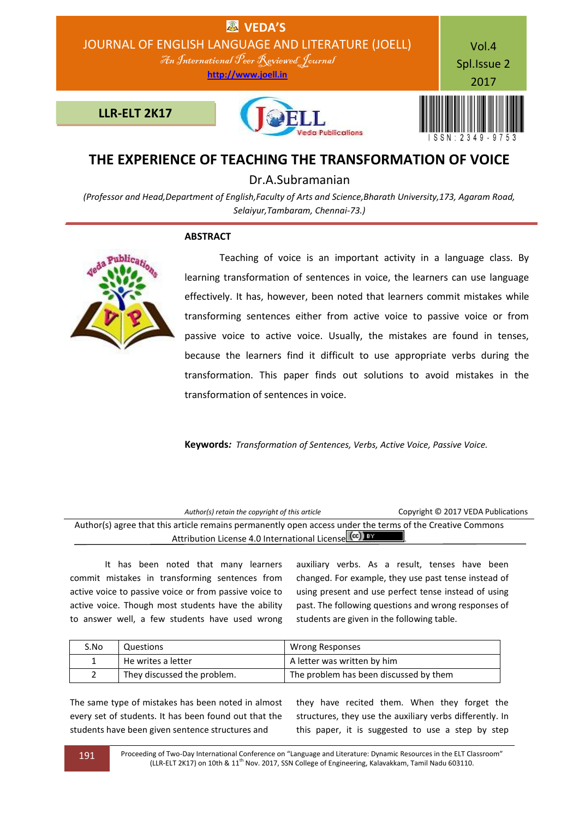

# **THE EXPERIENCE OF TEACHING THE TRANSFORMATION OF VOICE**

Dr.A.Subramanian

*(Professor and Head,Department of English,Faculty of Arts and Science,Bharath University,173, Agaram Road, Selaiyur,Tambaram, Chennai-73.)*

## **ABSTRACT**



Teaching of voice is an important activity in a language class. By learning transformation of sentences in voice, the learners can use language effectively. It has, however, been noted that learners commit mistakes while transforming sentences either from active voice to passive voice or from passive voice to active voice. Usually, the mistakes are found in tenses, because the learners find it difficult to use appropriate verbs during the transformation. This paper finds out solutions to avoid mistakes in the transformation of sentences in voice.

**Keywords***: Transformation of Sentences, Verbs, Active Voice, Passive Voice.*

| Author(s) retain the copyright of this article                                                            | Copyright © 2017 VEDA Publications |  |  |
|-----------------------------------------------------------------------------------------------------------|------------------------------------|--|--|
| Author(s) agree that this article remains permanently open access under the terms of the Creative Commons |                                    |  |  |
| Attribution License 4.0 International License (CC) BY                                                     |                                    |  |  |

It has been noted that many learners commit mistakes in transforming sentences from active voice to passive voice or from passive voice to active voice. Though most students have the ability to answer well, a few students have used wrong auxiliary verbs. As a result, tenses have been changed. For example, they use past tense instead of using present and use perfect tense instead of using past. The following questions and wrong responses of students are given in the following table.

| S.No | Questions                   | Wrong Responses                        |
|------|-----------------------------|----------------------------------------|
|      | He writes a letter          | A letter was written by him            |
|      | They discussed the problem. | The problem has been discussed by them |

The same type of mistakes has been noted in almost every set of students. It has been found out that the students have been given sentence structures and

they have recited them. When they forget the structures, they use the auxiliary verbs differently. In this paper, it is suggested to use a step by step

191 Proceeding of Two-Day International Conference on "Language and Literature: Dynamic Resources in the ELT Classroom" (LLR-ELT 2K17) on 10th & 11<sup>th</sup> Nov. 2017, SSN College of Engineering, Kalavakkam, Tamil Nadu 603110.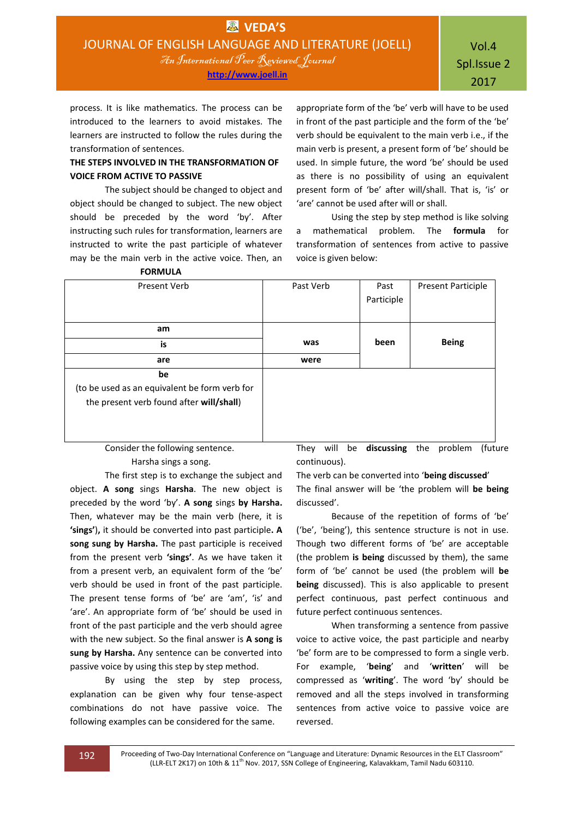Vol.4 Spl.Issue 2 2017

process. It is like mathematics. The process can be introduced to the learners to avoid mistakes. The learners are instructed to follow the rules during the transformation of sentences.

## **THE STEPS INVOLVED IN THE TRANSFORMATION OF VOICE FROM ACTIVE TO PASSIVE**

The subject should be changed to object and object should be changed to subject. The new object should be preceded by the word 'by'. After instructing such rules for transformation, learners are instructed to write the past participle of whatever may be the main verb in the active voice. Then, an

appropriate form of the 'be' verb will have to be used in front of the past participle and the form of the 'be' verb should be equivalent to the main verb i.e., if the main verb is present, a present form of 'be' should be used. In simple future, the word 'be' should be used as there is no possibility of using an equivalent present form of 'be' after will/shall. That is, 'is' or 'are' cannot be used after will or shall.

Using the step by step method is like solving a mathematical problem. The **formula** for transformation of sentences from active to passive voice is given below:

| Present Verb                                  | Past Verb | Past       | <b>Present Participle</b> |
|-----------------------------------------------|-----------|------------|---------------------------|
|                                               |           |            |                           |
|                                               |           | Participle |                           |
|                                               |           |            |                           |
|                                               |           |            |                           |
| am                                            |           |            |                           |
|                                               | was       | been       | <b>Being</b>              |
| is                                            |           |            |                           |
| are                                           | were      |            |                           |
|                                               |           |            |                           |
| be                                            |           |            |                           |
| (to be used as an equivalent be form verb for |           |            |                           |
|                                               |           |            |                           |
| the present verb found after will/shall)      |           |            |                           |
|                                               |           |            |                           |
|                                               |           |            |                           |
|                                               |           |            |                           |
|                                               |           |            |                           |
|                                               |           |            | $\cdots$                  |

Consider the following sentence. Harsha sings a song.

The first step is to exchange the subject and object. **A song** sings **Harsha**. The new object is preceded by the word 'by'. **A song** sings **by Harsha.**  Then, whatever may be the main verb (here, it is **'sings'**)**,** it should be converted into past participle**. A song sung by Harsha.** The past participle is received from the present verb **'sings'**. As we have taken it from a present verb, an equivalent form of the 'be' verb should be used in front of the past participle. The present tense forms of 'be' are 'am', 'is' and 'are'. An appropriate form of 'be' should be used in front of the past participle and the verb should agree with the new subject. So the final answer is **A song is sung by Harsha.** Any sentence can be converted into passive voice by using this step by step method.

By using the step by step process, explanation can be given why four tense-aspect combinations do not have passive voice. The following examples can be considered for the same.

They will be **discussing** the problem (future continuous).

The verb can be converted into '**being discussed**' The final answer will be 'the problem will **be being** discussed'.

Because of the repetition of forms of 'be' ('be', 'being'), this sentence structure is not in use. Though two different forms of 'be' are acceptable (the problem **is being** discussed by them), the same form of 'be' cannot be used (the problem will **be being** discussed). This is also applicable to present perfect continuous, past perfect continuous and future perfect continuous sentences.

When transforming a sentence from passive voice to active voice, the past participle and nearby 'be' form are to be compressed to form a single verb. For example, '**being**' and '**written**' will be compressed as '**writing**'. The word 'by' should be removed and all the steps involved in transforming sentences from active voice to passive voice are reversed.

 **FORMULA**